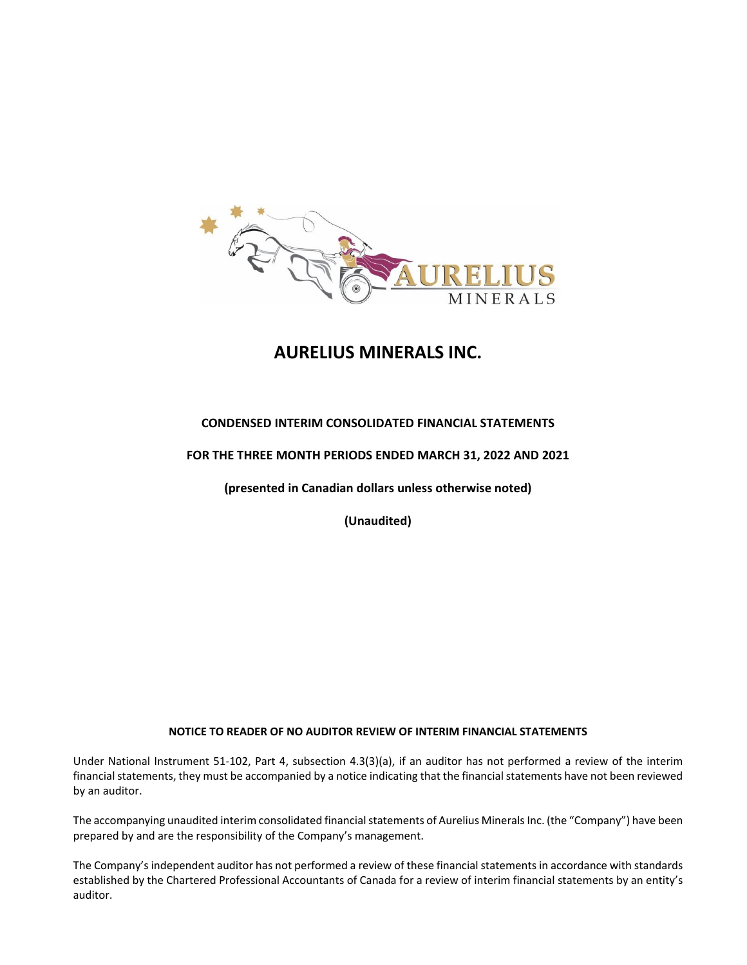

# **AURELIUS MINERALS INC.**

## **CONDENSED INTERIM CONSOLIDATED FINANCIAL STATEMENTS**

## **FOR THE THREE MONTH PERIODS ENDED MARCH 31, 2022 AND 2021**

**(presented in Canadian dollars unless otherwise noted)**

**(Unaudited)**

#### **NOTICE TO READER OF NO AUDITOR REVIEW OF INTERIM FINANCIAL STATEMENTS**

Under National Instrument 51‐102, Part 4, subsection 4.3(3)(a), if an auditor has not performed a review of the interim financial statements, they must be accompanied by a notice indicating that the financial statements have not been reviewed by an auditor.

The accompanying unaudited interim consolidated financial statements of Aurelius Minerals Inc. (the "Company") have been prepared by and are the responsibility of the Company's management.

The Company's independent auditor has not performed a review of these financial statements in accordance with standards established by the Chartered Professional Accountants of Canada for a review of interim financial statements by an entity's auditor.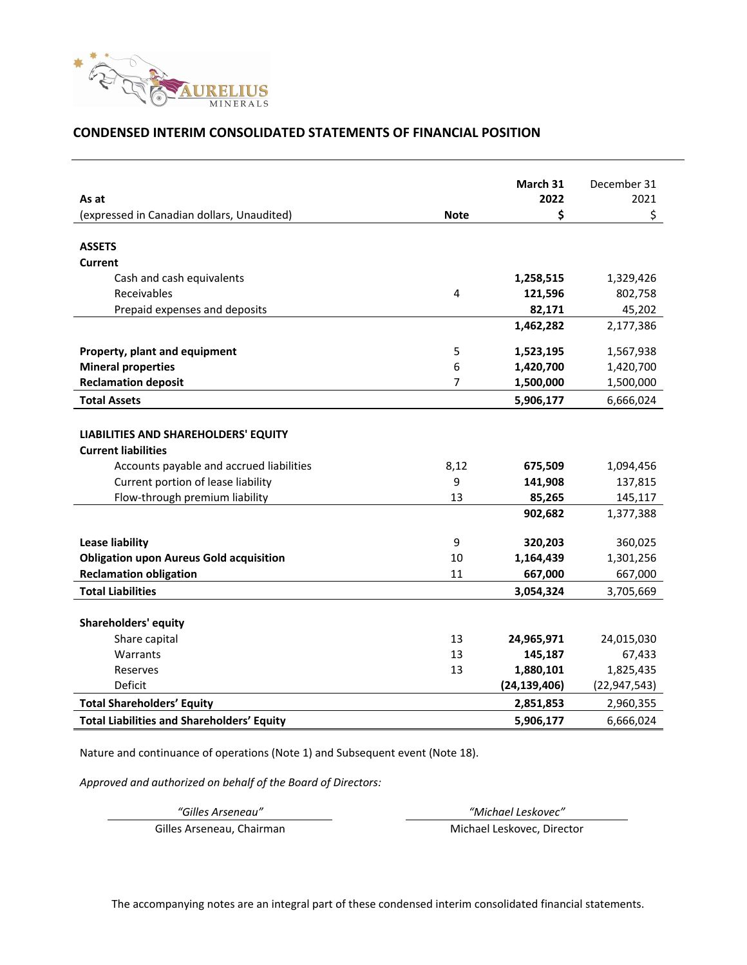

### **CONDENSED INTERIM CONSOLIDATED STATEMENTS OF FINANCIAL POSITION**

|                                                   |             | March 31       | December 31    |
|---------------------------------------------------|-------------|----------------|----------------|
| As at                                             |             | 2022           | 2021           |
| (expressed in Canadian dollars, Unaudited)        | <b>Note</b> | \$             | \$             |
|                                                   |             |                |                |
| <b>ASSETS</b>                                     |             |                |                |
| Current                                           |             |                |                |
| Cash and cash equivalents                         |             | 1,258,515      | 1,329,426      |
| Receivables                                       | 4           | 121,596        | 802,758        |
| Prepaid expenses and deposits                     |             | 82,171         | 45,202         |
|                                                   |             | 1,462,282      | 2,177,386      |
|                                                   |             |                |                |
| Property, plant and equipment                     | 5           | 1,523,195      | 1,567,938      |
| <b>Mineral properties</b>                         | 6           | 1,420,700      | 1,420,700      |
| <b>Reclamation deposit</b>                        | 7           | 1,500,000      | 1,500,000      |
| <b>Total Assets</b>                               |             | 5,906,177      | 6,666,024      |
|                                                   |             |                |                |
| LIABILITIES AND SHAREHOLDERS' EQUITY              |             |                |                |
| <b>Current liabilities</b>                        |             |                |                |
| Accounts payable and accrued liabilities          | 8,12        | 675,509        | 1,094,456      |
| Current portion of lease liability                | 9           | 141,908        | 137,815        |
| Flow-through premium liability                    | 13          | 85,265         | 145,117        |
|                                                   |             | 902,682        | 1,377,388      |
| <b>Lease liability</b>                            | 9           | 320,203        | 360,025        |
| <b>Obligation upon Aureus Gold acquisition</b>    | 10          | 1,164,439      | 1,301,256      |
| <b>Reclamation obligation</b>                     | 11          | 667,000        | 667,000        |
| <b>Total Liabilities</b>                          |             | 3,054,324      | 3,705,669      |
|                                                   |             |                |                |
| <b>Shareholders' equity</b>                       |             |                |                |
| Share capital                                     | 13          | 24,965,971     | 24,015,030     |
| Warrants                                          | 13          | 145,187        | 67,433         |
| Reserves                                          | 13          | 1,880,101      | 1,825,435      |
| Deficit                                           |             | (24, 139, 406) | (22, 947, 543) |
| <b>Total Shareholders' Equity</b>                 |             | 2,851,853      | 2,960,355      |
| <b>Total Liabilities and Shareholders' Equity</b> |             | 5,906,177      | 6,666,024      |

Nature and continuance of operations (Note 1) and Subsequent event (Note 18).

*Approved and authorized on behalf of the Board of Directors:*

*"Gilles Arseneau" "Michael Leskovec"*

Gilles Arseneau, Chairman Michael Leskovec, Director

The accompanying notes are an integral part of these condensed interim consolidated financial statements.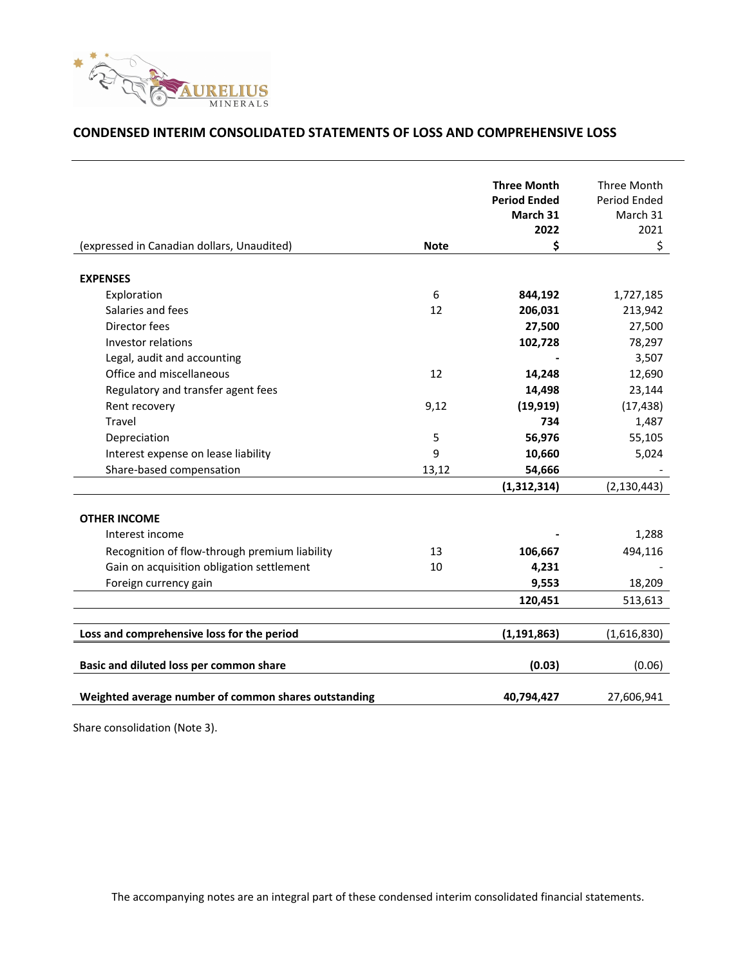

## **CONDENSED INTERIM CONSOLIDATED STATEMENTS OF LOSS AND COMPREHENSIVE LOSS**

|                                                      |             | <b>Three Month</b>  | Three Month   |
|------------------------------------------------------|-------------|---------------------|---------------|
|                                                      |             | <b>Period Ended</b> | Period Ended  |
|                                                      |             | March 31            | March 31      |
|                                                      |             | 2022                | 2021          |
| (expressed in Canadian dollars, Unaudited)           | <b>Note</b> | \$                  | \$            |
| <b>EXPENSES</b>                                      |             |                     |               |
| Exploration                                          | 6           | 844,192             | 1,727,185     |
| Salaries and fees                                    | 12          | 206,031             | 213,942       |
| Director fees                                        |             | 27,500              | 27,500        |
| Investor relations                                   |             | 102,728             | 78,297        |
| Legal, audit and accounting                          |             |                     | 3,507         |
| Office and miscellaneous                             | 12          | 14,248              | 12,690        |
| Regulatory and transfer agent fees                   |             | 14,498              | 23,144        |
| Rent recovery                                        | 9,12        | (19, 919)           | (17, 438)     |
| Travel                                               |             | 734                 | 1,487         |
| Depreciation                                         | 5           | 56,976              | 55,105        |
| Interest expense on lease liability                  | 9           | 10,660              | 5,024         |
| Share-based compensation                             | 13,12       | 54,666              |               |
|                                                      |             | (1,312,314)         | (2, 130, 443) |
|                                                      |             |                     |               |
| <b>OTHER INCOME</b>                                  |             |                     |               |
| Interest income                                      |             |                     | 1,288         |
| Recognition of flow-through premium liability        | 13          | 106,667             | 494,116       |
| Gain on acquisition obligation settlement            | 10          | 4,231               |               |
| Foreign currency gain                                |             | 9,553               | 18,209        |
|                                                      |             | 120,451             | 513,613       |
|                                                      |             |                     |               |
| Loss and comprehensive loss for the period           |             | (1, 191, 863)       | (1,616,830)   |
| Basic and diluted loss per common share              |             | (0.03)              | (0.06)        |
|                                                      |             |                     |               |
| Weighted average number of common shares outstanding |             | 40,794,427          | 27,606,941    |

Share consolidation (Note 3).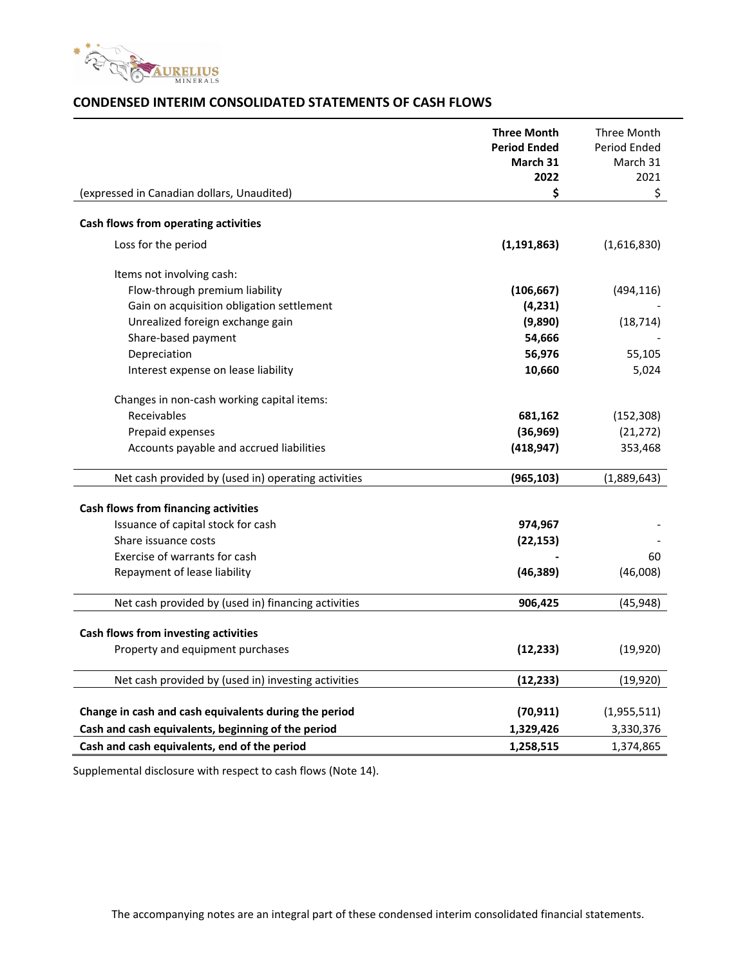

## **CONDENSED INTERIM CONSOLIDATED STATEMENTS OF CASH FLOWS**

|                                                       | <b>Three Month</b><br><b>Period Ended</b><br>March 31<br>2022 | Three Month<br>Period Ended<br>March 31<br>2021 |
|-------------------------------------------------------|---------------------------------------------------------------|-------------------------------------------------|
| (expressed in Canadian dollars, Unaudited)            | \$                                                            | \$                                              |
| Cash flows from operating activities                  |                                                               |                                                 |
| Loss for the period                                   | (1, 191, 863)                                                 | (1,616,830)                                     |
| Items not involving cash:                             |                                                               |                                                 |
| Flow-through premium liability                        | (106, 667)                                                    | (494, 116)                                      |
| Gain on acquisition obligation settlement             | (4, 231)                                                      |                                                 |
| Unrealized foreign exchange gain                      | (9,890)                                                       | (18, 714)                                       |
| Share-based payment                                   | 54,666                                                        |                                                 |
| Depreciation                                          | 56,976                                                        | 55,105                                          |
| Interest expense on lease liability                   | 10,660                                                        | 5,024                                           |
| Changes in non-cash working capital items:            |                                                               |                                                 |
| Receivables                                           | 681,162                                                       | (152, 308)                                      |
| Prepaid expenses                                      | (36,969)                                                      | (21, 272)                                       |
| Accounts payable and accrued liabilities              | (418, 947)                                                    | 353,468                                         |
| Net cash provided by (used in) operating activities   | (965, 103)                                                    | (1,889,643)                                     |
|                                                       |                                                               |                                                 |
| <b>Cash flows from financing activities</b>           |                                                               |                                                 |
| Issuance of capital stock for cash                    | 974,967                                                       |                                                 |
| Share issuance costs                                  | (22, 153)                                                     |                                                 |
| Exercise of warrants for cash                         |                                                               | 60                                              |
| Repayment of lease liability                          | (46, 389)                                                     | (46,008)                                        |
| Net cash provided by (used in) financing activities   | 906,425                                                       | (45, 948)                                       |
|                                                       |                                                               |                                                 |
| Cash flows from investing activities                  |                                                               |                                                 |
| Property and equipment purchases                      | (12, 233)                                                     | (19, 920)                                       |
| Net cash provided by (used in) investing activities   | (12, 233)                                                     | (19, 920)                                       |
| Change in cash and cash equivalents during the period | (70, 911)                                                     | (1,955,511)                                     |
|                                                       |                                                               |                                                 |
| Cash and cash equivalents, beginning of the period    | 1,329,426                                                     | 3,330,376                                       |
| Cash and cash equivalents, end of the period          | 1,258,515                                                     | 1,374,865                                       |

Supplemental disclosure with respect to cash flows (Note 14).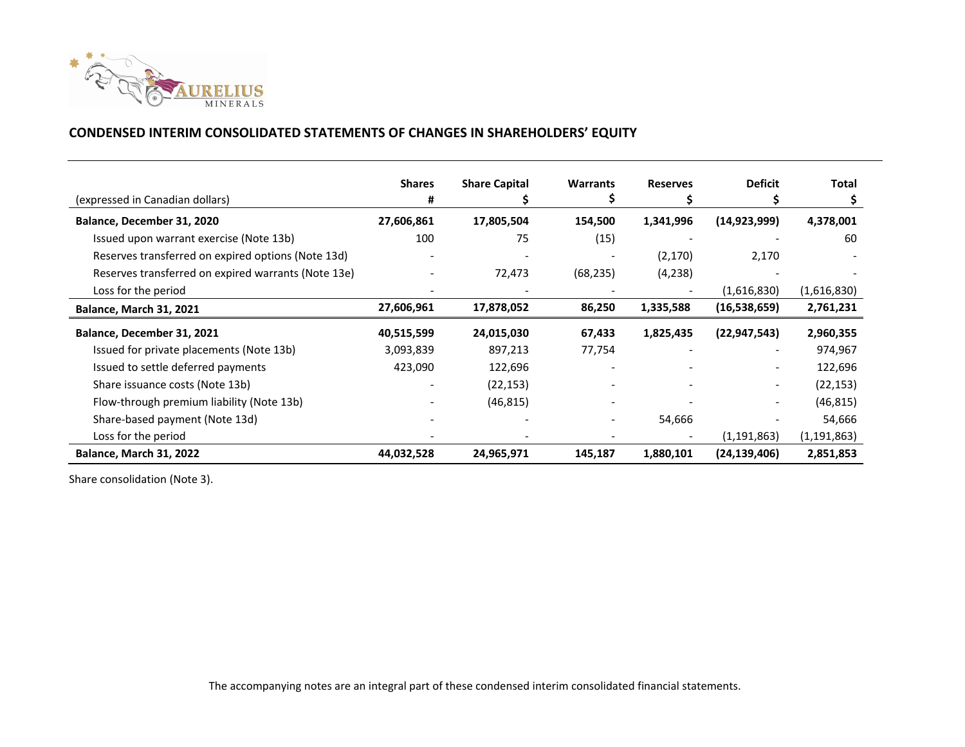

## **CONDENSED INTERIM CONSOLIDATED STATEMENTS OF CHANGES IN SHAREHOLDERS' EQUITY**

| (expressed in Canadian dollars)                     | <b>Shares</b><br># | <b>Share Capital</b> | <b>Warrants</b> | <b>Reserves</b> | <b>Deficit</b>               | Total         |
|-----------------------------------------------------|--------------------|----------------------|-----------------|-----------------|------------------------------|---------------|
| Balance, December 31, 2020                          | 27,606,861         | 17,805,504           | 154,500         | 1,341,996       | (14, 923, 999)               | 4,378,001     |
|                                                     |                    |                      |                 |                 |                              |               |
| Issued upon warrant exercise (Note 13b)             | 100                | 75                   | (15)            |                 |                              | 60            |
| Reserves transferred on expired options (Note 13d)  |                    |                      |                 | (2, 170)        | 2,170                        |               |
| Reserves transferred on expired warrants (Note 13e) |                    | 72,473               | (68, 235)       | (4,238)         |                              |               |
| Loss for the period                                 |                    |                      |                 |                 | (1,616,830)                  | (1,616,830)   |
| <b>Balance, March 31, 2021</b>                      | 27,606,961         | 17,878,052           | 86,250          | 1,335,588       | (16,538,659)                 | 2,761,231     |
| Balance, December 31, 2021                          | 40,515,599         | 24,015,030           | 67,433          | 1,825,435       | (22, 947, 543)               | 2,960,355     |
| Issued for private placements (Note 13b)            | 3,093,839          | 897,213              | 77,754          |                 |                              | 974,967       |
| Issued to settle deferred payments                  | 423,090            | 122,696              |                 |                 | $\overline{\phantom{0}}$     | 122,696       |
| Share issuance costs (Note 13b)                     |                    | (22, 153)            |                 |                 | $\qquad \qquad \blacksquare$ | (22, 153)     |
| Flow-through premium liability (Note 13b)           |                    | (46, 815)            |                 |                 |                              | (46, 815)     |
| Share-based payment (Note 13d)                      |                    |                      |                 | 54,666          |                              | 54,666        |
| Loss for the period                                 |                    |                      |                 |                 | (1, 191, 863)                | (1, 191, 863) |
| <b>Balance, March 31, 2022</b>                      | 44,032,528         | 24,965,971           | 145,187         | 1,880,101       | (24, 139, 406)               | 2,851,853     |

Share consolidation (Note 3).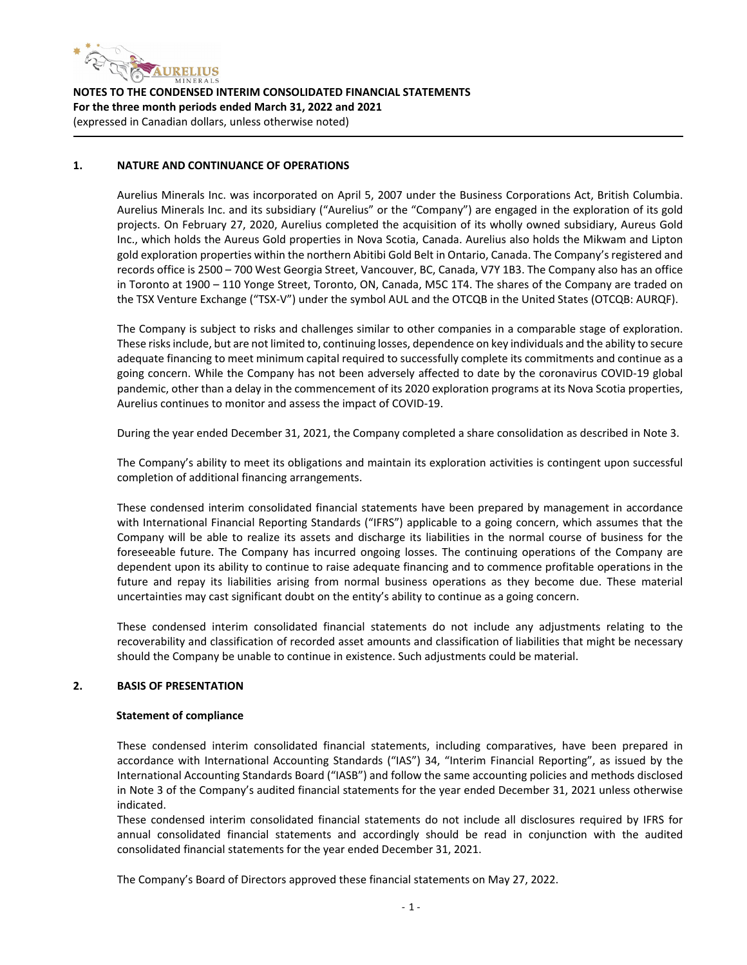

#### **1. NATURE AND CONTINUANCE OF OPERATIONS**

Aurelius Minerals Inc. was incorporated on April 5, 2007 under the Business Corporations Act, British Columbia. Aurelius Minerals Inc. and its subsidiary ("Aurelius" or the "Company") are engaged in the exploration of its gold projects. On February 27, 2020, Aurelius completed the acquisition of its wholly owned subsidiary, Aureus Gold Inc., which holds the Aureus Gold properties in Nova Scotia, Canada. Aurelius also holds the Mikwam and Lipton gold exploration properties within the northern Abitibi Gold Belt in Ontario, Canada. The Company's registered and records office is 2500 – 700 West Georgia Street, Vancouver, BC, Canada, V7Y 1B3. The Company also has an office in Toronto at 1900 – 110 Yonge Street, Toronto, ON, Canada, M5C 1T4. The shares of the Company are traded on the TSX Venture Exchange ("TSX‐V") under the symbol AUL and the OTCQB in the United States (OTCQB: AURQF).

The Company is subject to risks and challenges similar to other companies in a comparable stage of exploration. These risks include, but are not limited to, continuing losses, dependence on key individuals and the ability to secure adequate financing to meet minimum capital required to successfully complete its commitments and continue as a going concern. While the Company has not been adversely affected to date by the coronavirus COVID‐19 global pandemic, other than a delay in the commencement of its 2020 exploration programs at its Nova Scotia properties, Aurelius continues to monitor and assess the impact of COVID‐19.

During the year ended December 31, 2021, the Company completed a share consolidation as described in Note 3.

The Company's ability to meet its obligations and maintain its exploration activities is contingent upon successful completion of additional financing arrangements.

These condensed interim consolidated financial statements have been prepared by management in accordance with International Financial Reporting Standards ("IFRS") applicable to a going concern, which assumes that the Company will be able to realize its assets and discharge its liabilities in the normal course of business for the foreseeable future. The Company has incurred ongoing losses. The continuing operations of the Company are dependent upon its ability to continue to raise adequate financing and to commence profitable operations in the future and repay its liabilities arising from normal business operations as they become due. These material uncertainties may cast significant doubt on the entity's ability to continue as a going concern.

These condensed interim consolidated financial statements do not include any adjustments relating to the recoverability and classification of recorded asset amounts and classification of liabilities that might be necessary should the Company be unable to continue in existence. Such adjustments could be material.

#### **2. BASIS OF PRESENTATION**

#### **Statement of compliance**

These condensed interim consolidated financial statements, including comparatives, have been prepared in accordance with International Accounting Standards ("IAS") 34, "Interim Financial Reporting", as issued by the International Accounting Standards Board ("IASB") and follow the same accounting policies and methods disclosed in Note 3 of the Company's audited financial statements for the year ended December 31, 2021 unless otherwise indicated.

These condensed interim consolidated financial statements do not include all disclosures required by IFRS for annual consolidated financial statements and accordingly should be read in conjunction with the audited consolidated financial statements for the year ended December 31, 2021.

The Company's Board of Directors approved these financial statements on May 27, 2022.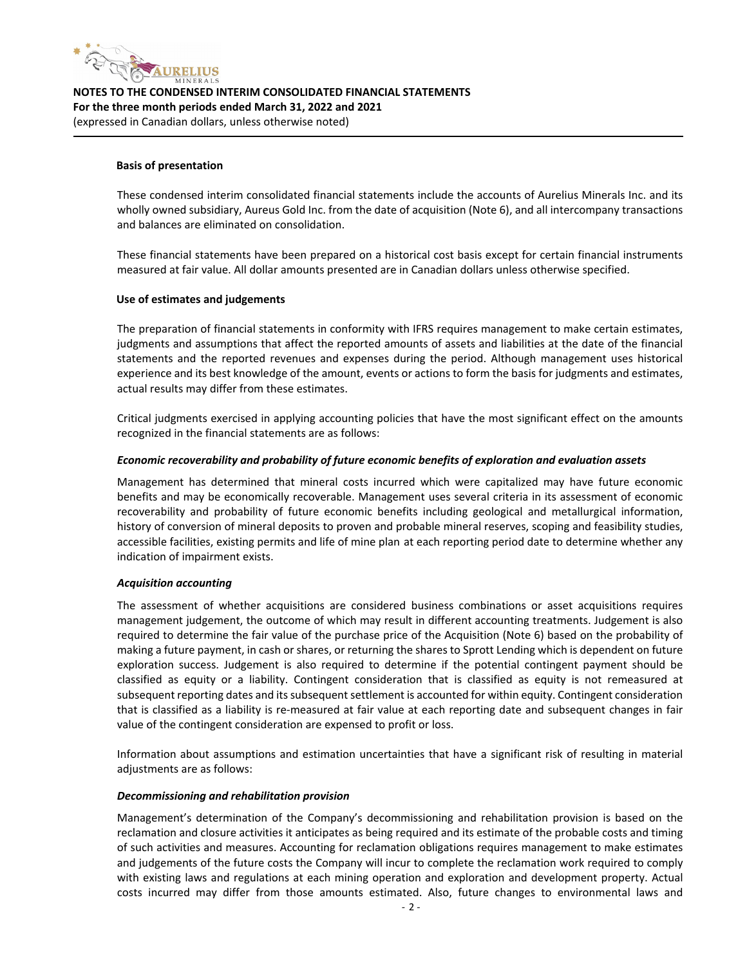

#### **Basis of presentation**

These condensed interim consolidated financial statements include the accounts of Aurelius Minerals Inc. and its wholly owned subsidiary, Aureus Gold Inc. from the date of acquisition (Note 6), and all intercompany transactions and balances are eliminated on consolidation.

These financial statements have been prepared on a historical cost basis except for certain financial instruments measured at fair value. All dollar amounts presented are in Canadian dollars unless otherwise specified.

#### **Use of estimates and judgements**

The preparation of financial statements in conformity with IFRS requires management to make certain estimates, judgments and assumptions that affect the reported amounts of assets and liabilities at the date of the financial statements and the reported revenues and expenses during the period. Although management uses historical experience and its best knowledge of the amount, events or actions to form the basis for judgments and estimates, actual results may differ from these estimates.

Critical judgments exercised in applying accounting policies that have the most significant effect on the amounts recognized in the financial statements are as follows:

#### *Economic recoverability and probability of future economic benefits of exploration and evaluation assets*

Management has determined that mineral costs incurred which were capitalized may have future economic benefits and may be economically recoverable. Management uses several criteria in its assessment of economic recoverability and probability of future economic benefits including geological and metallurgical information, history of conversion of mineral deposits to proven and probable mineral reserves, scoping and feasibility studies, accessible facilities, existing permits and life of mine plan at each reporting period date to determine whether any indication of impairment exists.

#### *Acquisition accounting*

The assessment of whether acquisitions are considered business combinations or asset acquisitions requires management judgement, the outcome of which may result in different accounting treatments. Judgement is also required to determine the fair value of the purchase price of the Acquisition (Note 6) based on the probability of making a future payment, in cash or shares, or returning the shares to Sprott Lending which is dependent on future exploration success. Judgement is also required to determine if the potential contingent payment should be classified as equity or a liability. Contingent consideration that is classified as equity is not remeasured at subsequent reporting dates and its subsequent settlement is accounted for within equity. Contingent consideration that is classified as a liability is re‐measured at fair value at each reporting date and subsequent changes in fair value of the contingent consideration are expensed to profit or loss.

Information about assumptions and estimation uncertainties that have a significant risk of resulting in material adjustments are as follows:

#### *Decommissioning and rehabilitation provision*

Management's determination of the Company's decommissioning and rehabilitation provision is based on the reclamation and closure activities it anticipates as being required and its estimate of the probable costs and timing of such activities and measures. Accounting for reclamation obligations requires management to make estimates and judgements of the future costs the Company will incur to complete the reclamation work required to comply with existing laws and regulations at each mining operation and exploration and development property. Actual costs incurred may differ from those amounts estimated. Also, future changes to environmental laws and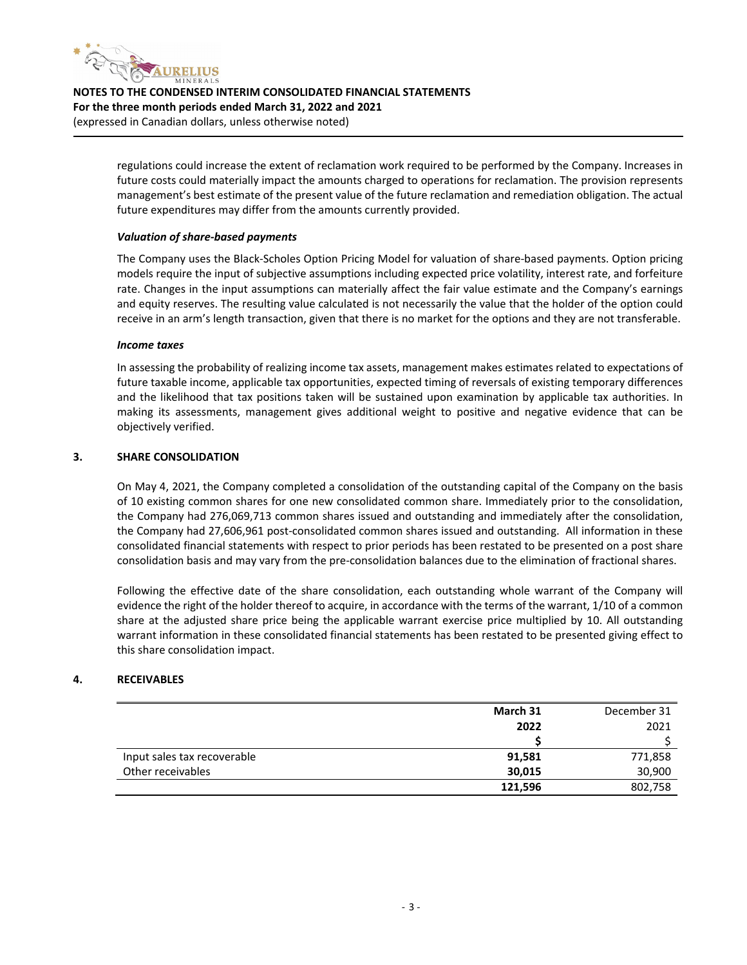

> regulations could increase the extent of reclamation work required to be performed by the Company. Increases in future costs could materially impact the amounts charged to operations for reclamation. The provision represents management's best estimate of the present value of the future reclamation and remediation obligation. The actual future expenditures may differ from the amounts currently provided.

#### *Valuation of share‐based payments*

The Company uses the Black‐Scholes Option Pricing Model for valuation of share‐based payments. Option pricing models require the input of subjective assumptions including expected price volatility, interest rate, and forfeiture rate. Changes in the input assumptions can materially affect the fair value estimate and the Company's earnings and equity reserves. The resulting value calculated is not necessarily the value that the holder of the option could receive in an arm's length transaction, given that there is no market for the options and they are not transferable.

#### *Income taxes*

In assessing the probability of realizing income tax assets, management makes estimates related to expectations of future taxable income, applicable tax opportunities, expected timing of reversals of existing temporary differences and the likelihood that tax positions taken will be sustained upon examination by applicable tax authorities. In making its assessments, management gives additional weight to positive and negative evidence that can be objectively verified.

#### **3. SHARE CONSOLIDATION**

On May 4, 2021, the Company completed a consolidation of the outstanding capital of the Company on the basis of 10 existing common shares for one new consolidated common share. Immediately prior to the consolidation, the Company had 276,069,713 common shares issued and outstanding and immediately after the consolidation, the Company had 27,606,961 post‐consolidated common shares issued and outstanding. All information in these consolidated financial statements with respect to prior periods has been restated to be presented on a post share consolidation basis and may vary from the pre-consolidation balances due to the elimination of fractional shares.

Following the effective date of the share consolidation, each outstanding whole warrant of the Company will evidence the right of the holder thereof to acquire, in accordance with the terms of the warrant, 1/10 of a common share at the adjusted share price being the applicable warrant exercise price multiplied by 10. All outstanding warrant information in these consolidated financial statements has been restated to be presented giving effect to this share consolidation impact.

#### **4. RECEIVABLES**

|                             | March 31 | December 31 |
|-----------------------------|----------|-------------|
|                             | 2022     | 2021        |
|                             |          |             |
| Input sales tax recoverable | 91,581   | 771,858     |
| Other receivables           | 30,015   | 30,900      |
|                             | 121,596  | 802,758     |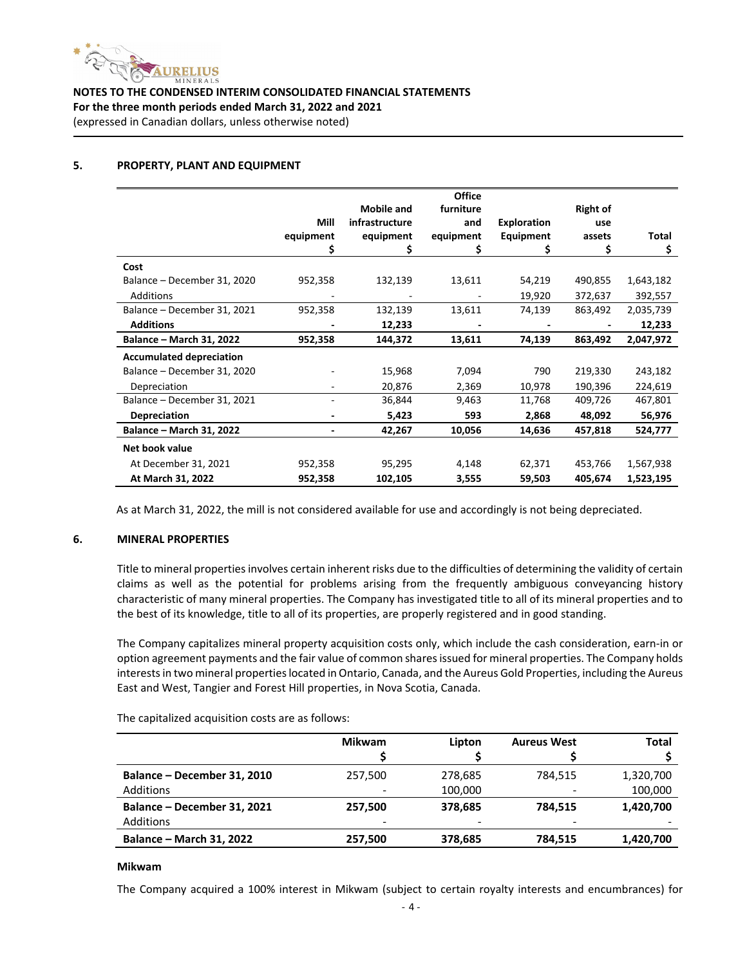

#### **5. PROPERTY, PLANT AND EQUIPMENT**

|                                 |           |                   | <b>Office</b> |             |                 |              |
|---------------------------------|-----------|-------------------|---------------|-------------|-----------------|--------------|
|                                 |           | <b>Mobile and</b> | furniture     |             | <b>Right of</b> |              |
|                                 | Mill      | infrastructure    | and           | Exploration | use             |              |
|                                 | equipment | equipment         | equipment     | Equipment   | assets          | <b>Total</b> |
|                                 |           |                   |               |             |                 | \$           |
| Cost                            |           |                   |               |             |                 |              |
| Balance - December 31, 2020     | 952,358   | 132,139           | 13,611        | 54,219      | 490,855         | 1,643,182    |
| Additions                       |           |                   |               | 19,920      | 372,637         | 392,557      |
| Balance - December 31, 2021     | 952,358   | 132,139           | 13,611        | 74,139      | 863,492         | 2,035,739    |
| <b>Additions</b>                |           | 12,233            |               |             |                 | 12,233       |
| Balance - March 31, 2022        | 952,358   | 144,372           | 13,611        | 74,139      | 863,492         | 2,047,972    |
| <b>Accumulated depreciation</b> |           |                   |               |             |                 |              |
| Balance - December 31, 2020     |           | 15,968            | 7,094         | 790         | 219,330         | 243,182      |
| Depreciation                    |           | 20,876            | 2,369         | 10,978      | 190,396         | 224,619      |
| Balance - December 31, 2021     |           | 36,844            | 9,463         | 11,768      | 409,726         | 467,801      |
| <b>Depreciation</b>             |           | 5,423             | 593           | 2,868       | 48,092          | 56,976       |
| Balance - March 31, 2022        |           | 42,267            | 10,056        | 14,636      | 457,818         | 524,777      |
| Net book value                  |           |                   |               |             |                 |              |
| At December 31, 2021            | 952,358   | 95,295            | 4,148         | 62,371      | 453,766         | 1,567,938    |
| At March 31, 2022               | 952,358   | 102,105           | 3,555         | 59,503      | 405,674         | 1,523,195    |

As at March 31, 2022, the mill is not considered available for use and accordingly is not being depreciated.

#### **6. MINERAL PROPERTIES**

Title to mineral properties involves certain inherent risks due to the difficulties of determining the validity of certain claims as well as the potential for problems arising from the frequently ambiguous conveyancing history characteristic of many mineral properties. The Company has investigated title to all of its mineral properties and to the best of its knowledge, title to all of its properties, are properly registered and in good standing.

The Company capitalizes mineral property acquisition costs only, which include the cash consideration, earn‐in or option agreement payments and the fair value of common sharesissued for mineral properties. The Company holds interestsin two mineral propertieslocated in Ontario, Canada, and the Aureus Gold Properties, including the Aureus East and West, Tangier and Forest Hill properties, in Nova Scotia, Canada.

|                                                 | <b>Mikwam</b> | Lipton             | <b>Aureus West</b> | <b>Total</b>         |
|-------------------------------------------------|---------------|--------------------|--------------------|----------------------|
| Balance - December 31, 2010<br><b>Additions</b> | 257.500       | 278,685<br>100,000 | 784.515            | 1,320,700<br>100,000 |
| Balance - December 31, 2021<br><b>Additions</b> | 257.500<br>-  | 378.685<br>-       | 784.515<br>-       | 1,420,700            |
| <b>Balance - March 31, 2022</b>                 | 257,500       | 378,685            | 784,515            | 1,420,700            |

The capitalized acquisition costs are as follows:

#### **Mikwam**

The Company acquired a 100% interest in Mikwam (subject to certain royalty interests and encumbrances) for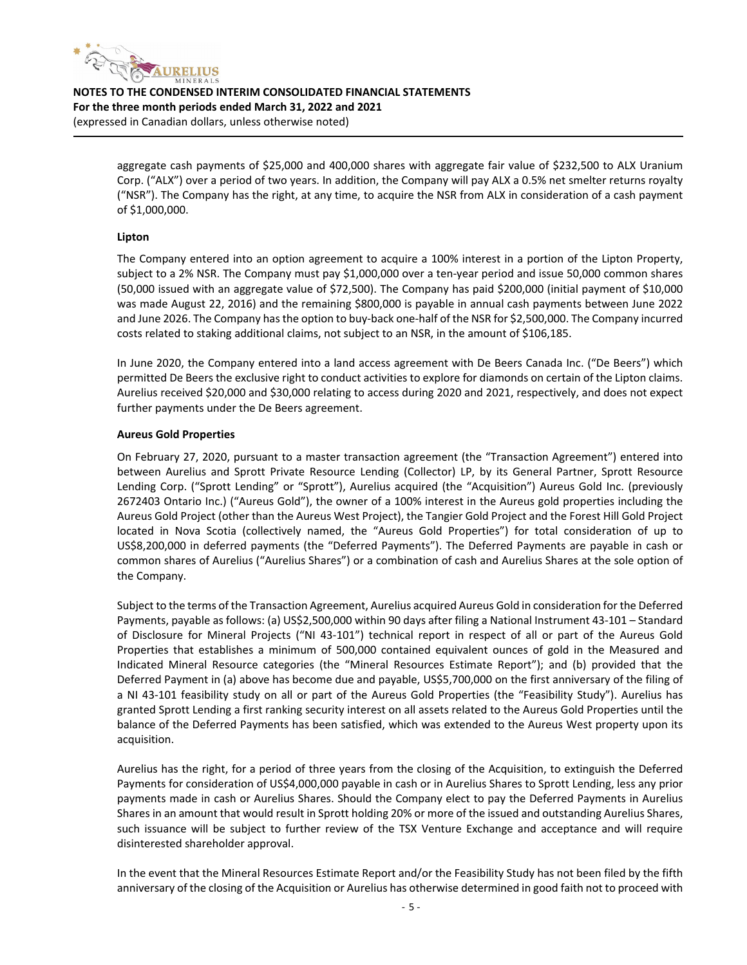

> aggregate cash payments of \$25,000 and 400,000 shares with aggregate fair value of \$232,500 to ALX Uranium Corp. ("ALX") over a period of two years. In addition, the Company will pay ALX a 0.5% net smelter returns royalty ("NSR"). The Company has the right, at any time, to acquire the NSR from ALX in consideration of a cash payment of \$1,000,000.

#### **Lipton**

The Company entered into an option agreement to acquire a 100% interest in a portion of the Lipton Property, subject to a 2% NSR. The Company must pay \$1,000,000 over a ten‐year period and issue 50,000 common shares (50,000 issued with an aggregate value of \$72,500). The Company has paid \$200,000 (initial payment of \$10,000 was made August 22, 2016) and the remaining \$800,000 is payable in annual cash payments between June 2022 and June 2026. The Company hasthe option to buy‐back one‐half of the NSR for \$2,500,000. The Company incurred costs related to staking additional claims, not subject to an NSR, in the amount of \$106,185.

In June 2020, the Company entered into a land access agreement with De Beers Canada Inc. ("De Beers") which permitted De Beers the exclusive right to conduct activities to explore for diamonds on certain of the Lipton claims. Aurelius received \$20,000 and \$30,000 relating to access during 2020 and 2021, respectively, and does not expect further payments under the De Beers agreement.

#### **Aureus Gold Properties**

On February 27, 2020, pursuant to a master transaction agreement (the "Transaction Agreement") entered into between Aurelius and Sprott Private Resource Lending (Collector) LP, by its General Partner, Sprott Resource Lending Corp. ("Sprott Lending" or "Sprott"), Aurelius acquired (the "Acquisition") Aureus Gold Inc. (previously 2672403 Ontario Inc.) ("Aureus Gold"), the owner of a 100% interest in the Aureus gold properties including the Aureus Gold Project (other than the Aureus West Project), the Tangier Gold Project and the Forest Hill Gold Project located in Nova Scotia (collectively named, the "Aureus Gold Properties") for total consideration of up to US\$8,200,000 in deferred payments (the "Deferred Payments"). The Deferred Payments are payable in cash or common shares of Aurelius ("Aurelius Shares") or a combination of cash and Aurelius Shares at the sole option of the Company.

Subject to the terms of the Transaction Agreement, Aurelius acquired Aureus Gold in consideration for the Deferred Payments, payable as follows: (a) US\$2,500,000 within 90 days after filing a National Instrument 43‐101 – Standard of Disclosure for Mineral Projects ("NI 43‐101") technical report in respect of all or part of the Aureus Gold Properties that establishes a minimum of 500,000 contained equivalent ounces of gold in the Measured and Indicated Mineral Resource categories (the "Mineral Resources Estimate Report"); and (b) provided that the Deferred Payment in (a) above has become due and payable, US\$5,700,000 on the first anniversary of the filing of a NI 43‐101 feasibility study on all or part of the Aureus Gold Properties (the "Feasibility Study"). Aurelius has granted Sprott Lending a first ranking security interest on all assets related to the Aureus Gold Properties until the balance of the Deferred Payments has been satisfied, which was extended to the Aureus West property upon its acquisition.

Aurelius has the right, for a period of three years from the closing of the Acquisition, to extinguish the Deferred Payments for consideration of US\$4,000,000 payable in cash or in Aurelius Shares to Sprott Lending, less any prior payments made in cash or Aurelius Shares. Should the Company elect to pay the Deferred Payments in Aurelius Shares in an amount that would result in Sprott holding 20% or more of the issued and outstanding Aurelius Shares, such issuance will be subject to further review of the TSX Venture Exchange and acceptance and will require disinterested shareholder approval.

In the event that the Mineral Resources Estimate Report and/or the Feasibility Study has not been filed by the fifth anniversary of the closing of the Acquisition or Aurelius has otherwise determined in good faith not to proceed with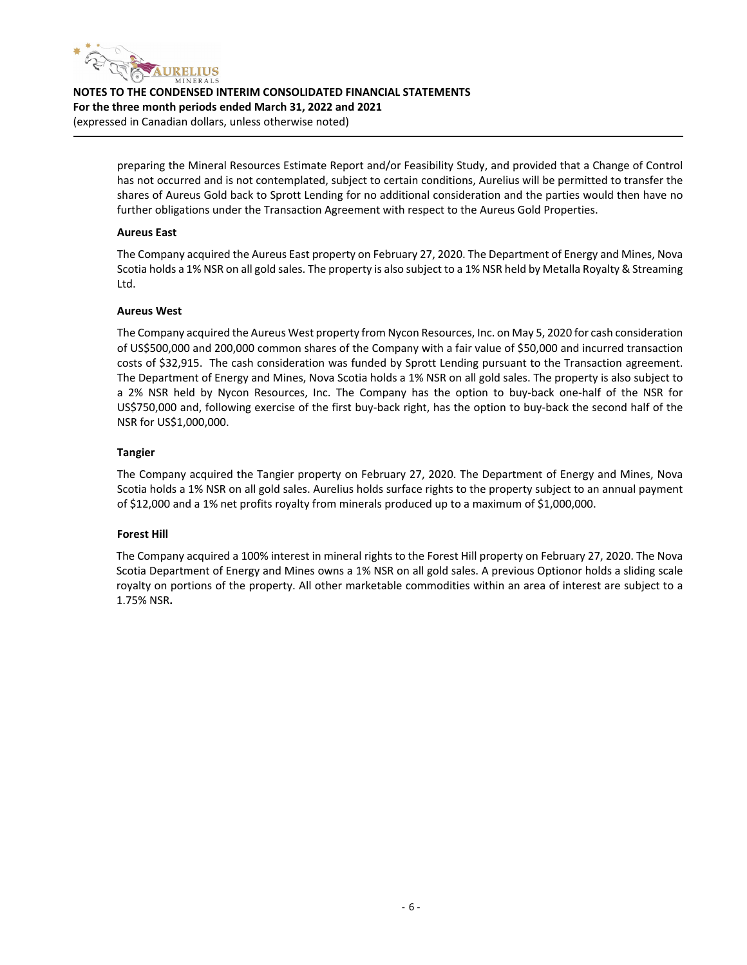

> preparing the Mineral Resources Estimate Report and/or Feasibility Study, and provided that a Change of Control has not occurred and is not contemplated, subject to certain conditions, Aurelius will be permitted to transfer the shares of Aureus Gold back to Sprott Lending for no additional consideration and the parties would then have no further obligations under the Transaction Agreement with respect to the Aureus Gold Properties.

#### **Aureus East**

The Company acquired the Aureus East property on February 27, 2020. The Department of Energy and Mines, Nova Scotia holds a 1% NSR on all gold sales. The property is also subject to a 1% NSR held by Metalla Royalty & Streaming Ltd.

#### **Aureus West**

The Company acquired the Aureus West property from Nycon Resources, Inc. on May 5, 2020 for cash consideration of US\$500,000 and 200,000 common shares of the Company with a fair value of \$50,000 and incurred transaction costs of \$32,915. The cash consideration was funded by Sprott Lending pursuant to the Transaction agreement. The Department of Energy and Mines, Nova Scotia holds a 1% NSR on all gold sales. The property is also subject to a 2% NSR held by Nycon Resources, Inc. The Company has the option to buy‐back one‐half of the NSR for US\$750,000 and, following exercise of the first buy‐back right, has the option to buy‐back the second half of the NSR for US\$1,000,000.

#### **Tangier**

The Company acquired the Tangier property on February 27, 2020. The Department of Energy and Mines, Nova Scotia holds a 1% NSR on all gold sales. Aurelius holds surface rights to the property subject to an annual payment of \$12,000 and a 1% net profits royalty from minerals produced up to a maximum of \$1,000,000.

#### **Forest Hill**

The Company acquired a 100% interest in mineral rights to the Forest Hill property on February 27, 2020. The Nova Scotia Department of Energy and Mines owns a 1% NSR on all gold sales. A previous Optionor holds a sliding scale royalty on portions of the property. All other marketable commodities within an area of interest are subject to a 1.75% NSR**.**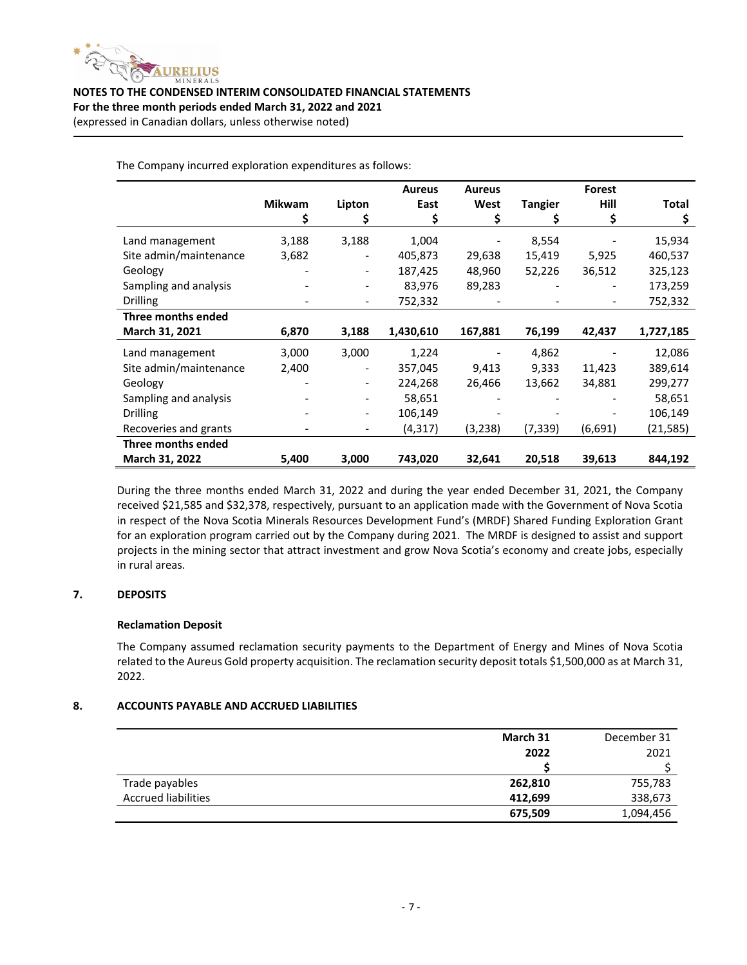

|                        | <b>Mikwam</b> | Lipton | <b>Aureus</b><br>East | <b>Aureus</b><br>West    | <b>Tangier</b> | Forest<br>Hill           | <b>Total</b> |
|------------------------|---------------|--------|-----------------------|--------------------------|----------------|--------------------------|--------------|
| Land management        | 3,188         | 3,188  | 1,004                 | $\overline{\phantom{a}}$ | 8,554          |                          | 15,934       |
| Site admin/maintenance | 3,682         | ۰.     | 405,873               | 29,638                   | 15,419         | 5,925                    | 460,537      |
| Geology                |               | ۰.     | 187,425               | 48,960                   | 52,226         | 36,512                   | 325,123      |
| Sampling and analysis  |               |        | 83,976                | 89,283                   |                | $\overline{\phantom{a}}$ | 173,259      |
| <b>Drilling</b>        |               |        | 752,332               |                          |                |                          | 752,332      |
| Three months ended     |               |        |                       |                          |                |                          |              |
| March 31, 2021         | 6,870         | 3,188  | 1,430,610             | 167,881                  | 76.199         | 42.437                   | 1,727,185    |

The Company incurred exploration expenditures as follows:

During the three months ended March 31, 2022 and during the year ended December 31, 2021, the Company received \$21,585 and \$32,378, respectively, pursuant to an application made with the Government of Nova Scotia in respect of the Nova Scotia Minerals Resources Development Fund's (MRDF) Shared Funding Exploration Grant for an exploration program carried out by the Company during 2021. The MRDF is designed to assist and support projects in the mining sector that attract investment and grow Nova Scotia's economy and create jobs, especially in rural areas.

**March 31, 2022 5,400 3,000 743,020 32,641 20,518 39,613 844,192**

Land management 3,000 3,000 1,224 - 4,862 - 12,086 Site admin/maintenance 2,400 - 357,045 9,413 9,333 11,423 389,614 Geology ‐ ‐ 224,268 26,466 13,662 34,881 299,277 Sampling and analysis - 58,651 - - 58,651 Drilling ‐ ‐ 106,149 ‐ ‐ ‐ 106,149 Recoveries and grants **•** (4,317) (3,238) (7,339) (6,691) (21,585)

#### **7. DEPOSITS**

#### **Reclamation Deposit**

**Three months ended**

The Company assumed reclamation security payments to the Department of Energy and Mines of Nova Scotia related to the Aureus Gold property acquisition. The reclamation security deposit totals \$1,500,000 as at March 31, 2022.

#### **8. ACCOUNTS PAYABLE AND ACCRUED LIABILITIES**

|                            | March 31 | December 31 |
|----------------------------|----------|-------------|
|                            | 2022     | 2021        |
|                            |          |             |
| Trade payables             | 262,810  | 755,783     |
| <b>Accrued liabilities</b> | 412,699  | 338,673     |
|                            | 675,509  | 1,094,456   |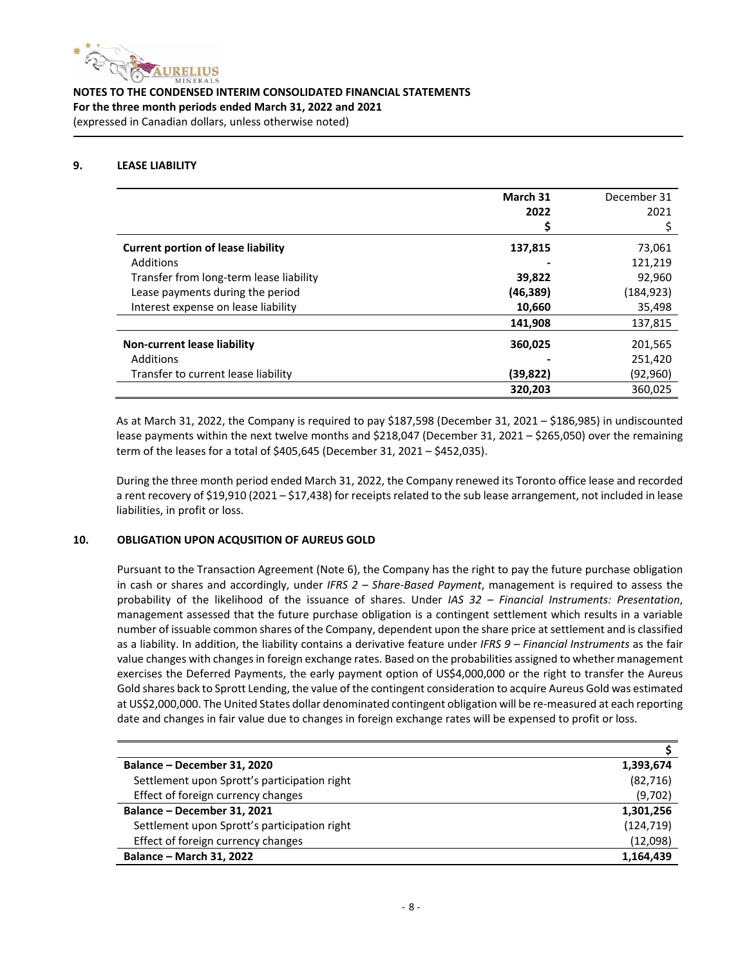

#### **9. LEASE LIABILITY**

|                                           | March 31  | December 31 |
|-------------------------------------------|-----------|-------------|
|                                           | 2022      | 2021        |
|                                           |           |             |
| <b>Current portion of lease liability</b> | 137,815   | 73,061      |
| <b>Additions</b>                          |           | 121.219     |
| Transfer from long-term lease liability   | 39,822    | 92,960      |
| Lease payments during the period          | (46, 389) | (184, 923)  |
| Interest expense on lease liability       | 10,660    | 35,498      |
|                                           | 141,908   | 137,815     |
| Non-current lease liability               | 360,025   | 201,565     |
| <b>Additions</b>                          |           | 251,420     |
| Transfer to current lease liability       | (39,822)  | (92, 960)   |
|                                           | 320,203   | 360,025     |

As at March 31, 2022, the Company is required to pay \$187,598 (December 31, 2021 – \$186,985) in undiscounted lease payments within the next twelve months and \$218,047 (December 31, 2021 – \$265,050) over the remaining term of the leases for a total of \$405,645 (December 31, 2021 – \$452,035).

During the three month period ended March 31, 2022, the Company renewed its Toronto office lease and recorded a rent recovery of \$19,910 (2021 – \$17,438) for receipts related to the sub lease arrangement, not included in lease liabilities, in profit or loss.

#### **10. OBLIGATION UPON ACQUSITION OF AUREUS GOLD**

Pursuant to the Transaction Agreement (Note 6), the Company has the right to pay the future purchase obligation in cash or shares and accordingly, under *IFRS 2 – Share‐Based Payment*, management is required to assess the probability of the likelihood of the issuance of shares. Under *IAS 32 – Financial Instruments: Presentation*, management assessed that the future purchase obligation is a contingent settlement which results in a variable number of issuable common shares of the Company, dependent upon the share price at settlement and is classified as a liability. In addition, the liability contains a derivative feature under *IFRS 9 – Financial Instruments* as the fair value changes with changes in foreign exchange rates. Based on the probabilities assigned to whether management exercises the Deferred Payments, the early payment option of US\$4,000,000 or the right to transfer the Aureus Gold shares back to Sprott Lending, the value of the contingent consideration to acquire Aureus Gold was estimated at US\$2,000,000. The United States dollar denominated contingent obligation will be re-measured at each reporting date and changes in fair value due to changes in foreign exchange rates will be expensed to profit or loss.

| Balance – December 31, 2020                  | 1,393,674  |
|----------------------------------------------|------------|
| Settlement upon Sprott's participation right | (82, 716)  |
| Effect of foreign currency changes           | (9,702)    |
| Balance - December 31, 2021                  | 1,301,256  |
| Settlement upon Sprott's participation right | (124, 719) |
| Effect of foreign currency changes           | (12,098)   |
| <b>Balance - March 31, 2022</b>              | 1,164,439  |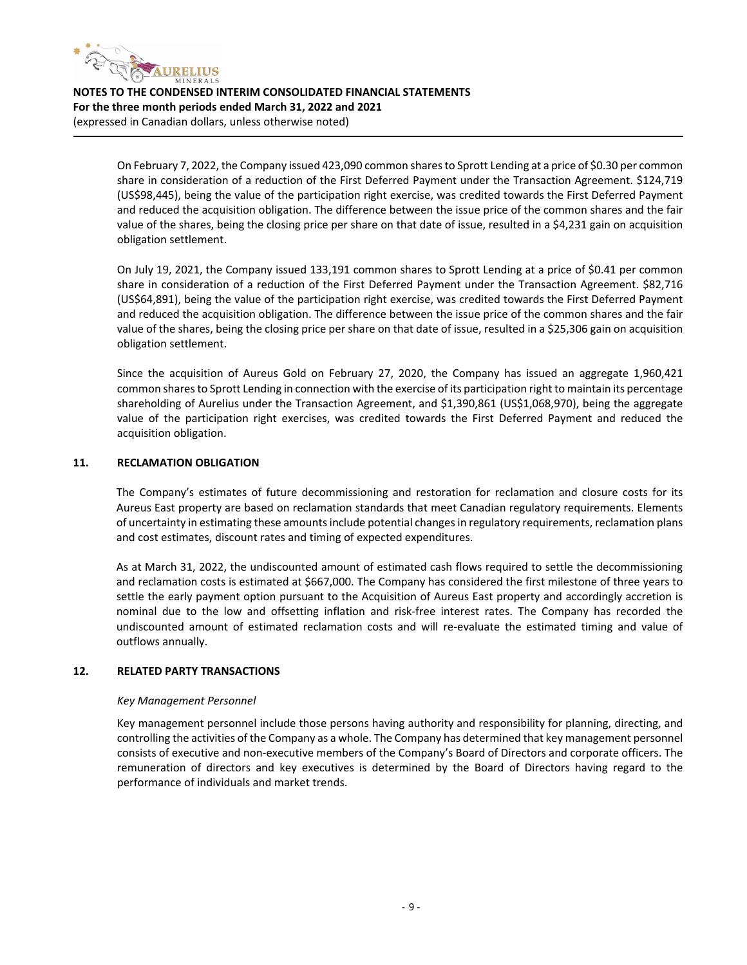

> On February 7, 2022, the Company issued 423,090 common sharesto Sprott Lending at a price of \$0.30 per common share in consideration of a reduction of the First Deferred Payment under the Transaction Agreement. \$124,719 (US\$98,445), being the value of the participation right exercise, was credited towards the First Deferred Payment and reduced the acquisition obligation. The difference between the issue price of the common shares and the fair value of the shares, being the closing price per share on that date of issue, resulted in a \$4,231 gain on acquisition obligation settlement.

> On July 19, 2021, the Company issued 133,191 common shares to Sprott Lending at a price of \$0.41 per common share in consideration of a reduction of the First Deferred Payment under the Transaction Agreement. \$82,716 (US\$64,891), being the value of the participation right exercise, was credited towards the First Deferred Payment and reduced the acquisition obligation. The difference between the issue price of the common shares and the fair value of the shares, being the closing price per share on that date of issue, resulted in a \$25,306 gain on acquisition obligation settlement.

> Since the acquisition of Aureus Gold on February 27, 2020, the Company has issued an aggregate 1,960,421 common shares to Sprott Lending in connection with the exercise of its participation right to maintain its percentage shareholding of Aurelius under the Transaction Agreement, and \$1,390,861 (US\$1,068,970), being the aggregate value of the participation right exercises, was credited towards the First Deferred Payment and reduced the acquisition obligation.

#### **11. RECLAMATION OBLIGATION**

The Company's estimates of future decommissioning and restoration for reclamation and closure costs for its Aureus East property are based on reclamation standards that meet Canadian regulatory requirements. Elements of uncertainty in estimating these amounts include potential changes in regulatory requirements, reclamation plans and cost estimates, discount rates and timing of expected expenditures.

As at March 31, 2022, the undiscounted amount of estimated cash flows required to settle the decommissioning and reclamation costs is estimated at \$667,000. The Company has considered the first milestone of three years to settle the early payment option pursuant to the Acquisition of Aureus East property and accordingly accretion is nominal due to the low and offsetting inflation and risk‐free interest rates. The Company has recorded the undiscounted amount of estimated reclamation costs and will re‐evaluate the estimated timing and value of outflows annually.

#### **12. RELATED PARTY TRANSACTIONS**

#### *Key Management Personnel*

Key management personnel include those persons having authority and responsibility for planning, directing, and controlling the activities of the Company as a whole. The Company has determined that key management personnel consists of executive and non‐executive members of the Company's Board of Directors and corporate officers. The remuneration of directors and key executives is determined by the Board of Directors having regard to the performance of individuals and market trends.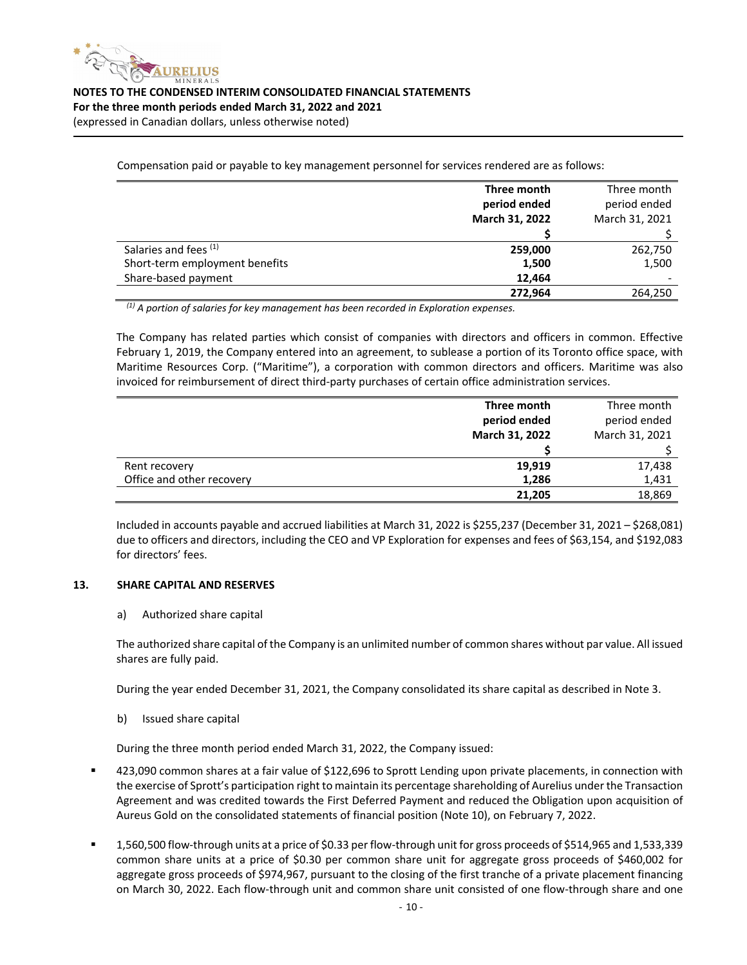

Compensation paid or payable to key management personnel for services rendered are as follows:

|                                | Three month    | Three month    |
|--------------------------------|----------------|----------------|
|                                | period ended   | period ended   |
|                                | March 31, 2022 | March 31, 2021 |
|                                |                |                |
| Salaries and fees (1)          | 259,000        | 262,750        |
| Short-term employment benefits | 1,500          | 1,500          |
| Share-based payment            | 12.464         |                |
|                                | 272,964        | 264,250        |

*(1) A portion of salaries for key management has been recorded in Exploration expenses.*

The Company has related parties which consist of companies with directors and officers in common. Effective February 1, 2019, the Company entered into an agreement, to sublease a portion of its Toronto office space, with Maritime Resources Corp. ("Maritime"), a corporation with common directors and officers. Maritime was also invoiced for reimbursement of direct third‐party purchases of certain office administration services.

|                           | Three month           | Three month    |
|---------------------------|-----------------------|----------------|
|                           | period ended          | period ended   |
|                           | <b>March 31, 2022</b> | March 31, 2021 |
|                           |                       |                |
| Rent recovery             | 19,919                | 17,438         |
| Office and other recovery | 1,286                 | 1,431          |
|                           | 21.205                | 18,869         |

Included in accounts payable and accrued liabilities at March 31, 2022 is \$255,237 (December 31, 2021 – \$268,081) due to officers and directors, including the CEO and VP Exploration for expenses and fees of \$63,154, and \$192,083 for directors' fees.

#### **13. SHARE CAPITAL AND RESERVES**

#### a) Authorized share capital

The authorized share capital of the Company is an unlimited number of common shares without par value. All issued shares are fully paid.

During the year ended December 31, 2021, the Company consolidated its share capital as described in Note 3.

b) Issued share capital

During the three month period ended March 31, 2022, the Company issued:

- 423,090 common shares at a fair value of \$122,696 to Sprott Lending upon private placements, in connection with the exercise of Sprott's participation right to maintain its percentage shareholding of Aurelius underthe Transaction Agreement and was credited towards the First Deferred Payment and reduced the Obligation upon acquisition of Aureus Gold on the consolidated statements of financial position (Note 10), on February 7, 2022.
- 1,560,500 flow-through units at a price of \$0.33 per flow-through unit for gross proceeds of \$514,965 and 1,533,339 common share units at a price of \$0.30 per common share unit for aggregate gross proceeds of \$460,002 for aggregate gross proceeds of \$974,967, pursuant to the closing of the first tranche of a private placement financing on March 30, 2022. Each flow-through unit and common share unit consisted of one flow-through share and one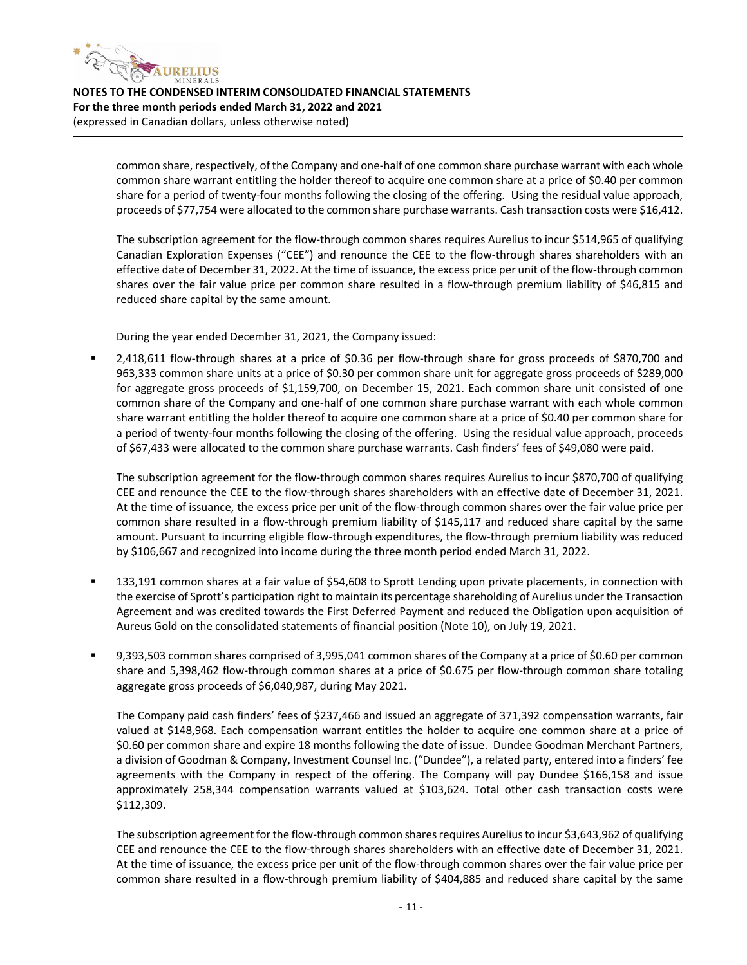

> common share, respectively, of the Company and one‐half of one common share purchase warrant with each whole common share warrant entitling the holder thereof to acquire one common share at a price of \$0.40 per common share for a period of twenty-four months following the closing of the offering. Using the residual value approach, proceeds of \$77,754 were allocated to the common share purchase warrants. Cash transaction costs were \$16,412.

> The subscription agreement for the flow-through common shares requires Aurelius to incur \$514,965 of qualifying Canadian Exploration Expenses ("CEE") and renounce the CEE to the flow‐through shares shareholders with an effective date of December 31, 2022. At the time of issuance, the excess price per unit of the flow‐through common shares over the fair value price per common share resulted in a flow-through premium liability of \$46,815 and reduced share capital by the same amount.

During the year ended December 31, 2021, the Company issued:

■ 2,418,611 flow-through shares at a price of \$0.36 per flow-through share for gross proceeds of \$870,700 and 963,333 common share units at a price of \$0.30 per common share unit for aggregate gross proceeds of \$289,000 for aggregate gross proceeds of \$1,159,700, on December 15, 2021. Each common share unit consisted of one common share of the Company and one‐half of one common share purchase warrant with each whole common share warrant entitling the holder thereof to acquire one common share at a price of \$0.40 per common share for a period of twenty‐four months following the closing of the offering. Using the residual value approach, proceeds of \$67,433 were allocated to the common share purchase warrants. Cash finders' fees of \$49,080 were paid.

The subscription agreement for the flow‐through common shares requires Aurelius to incur \$870,700 of qualifying CEE and renounce the CEE to the flow‐through shares shareholders with an effective date of December 31, 2021. At the time of issuance, the excess price per unit of the flow‐through common shares over the fair value price per common share resulted in a flow-through premium liability of \$145,117 and reduced share capital by the same amount. Pursuant to incurring eligible flow‐through expenditures, the flow‐through premium liability was reduced by \$106,667 and recognized into income during the three month period ended March 31, 2022.

- 133,191 common shares at a fair value of \$54,608 to Sprott Lending upon private placements, in connection with the exercise of Sprott's participation right to maintain its percentage shareholding of Aurelius underthe Transaction Agreement and was credited towards the First Deferred Payment and reduced the Obligation upon acquisition of Aureus Gold on the consolidated statements of financial position (Note 10), on July 19, 2021.
- 9,393,503 common shares comprised of 3,995,041 common shares of the Company at a price of \$0.60 per common share and 5,398,462 flow-through common shares at a price of \$0.675 per flow-through common share totaling aggregate gross proceeds of \$6,040,987, during May 2021.

The Company paid cash finders' fees of \$237,466 and issued an aggregate of 371,392 compensation warrants, fair valued at \$148,968. Each compensation warrant entitles the holder to acquire one common share at a price of \$0.60 per common share and expire 18 months following the date of issue. Dundee Goodman Merchant Partners, a division of Goodman & Company, Investment Counsel Inc. ("Dundee"), a related party, entered into a finders' fee agreements with the Company in respect of the offering. The Company will pay Dundee \$166,158 and issue approximately 258,344 compensation warrants valued at \$103,624. Total other cash transaction costs were \$112,309.

The subscription agreement for the flow-through common shares requires Aurelius to incur \$3,643,962 of qualifying CEE and renounce the CEE to the flow‐through shares shareholders with an effective date of December 31, 2021. At the time of issuance, the excess price per unit of the flow‐through common shares over the fair value price per common share resulted in a flow-through premium liability of \$404,885 and reduced share capital by the same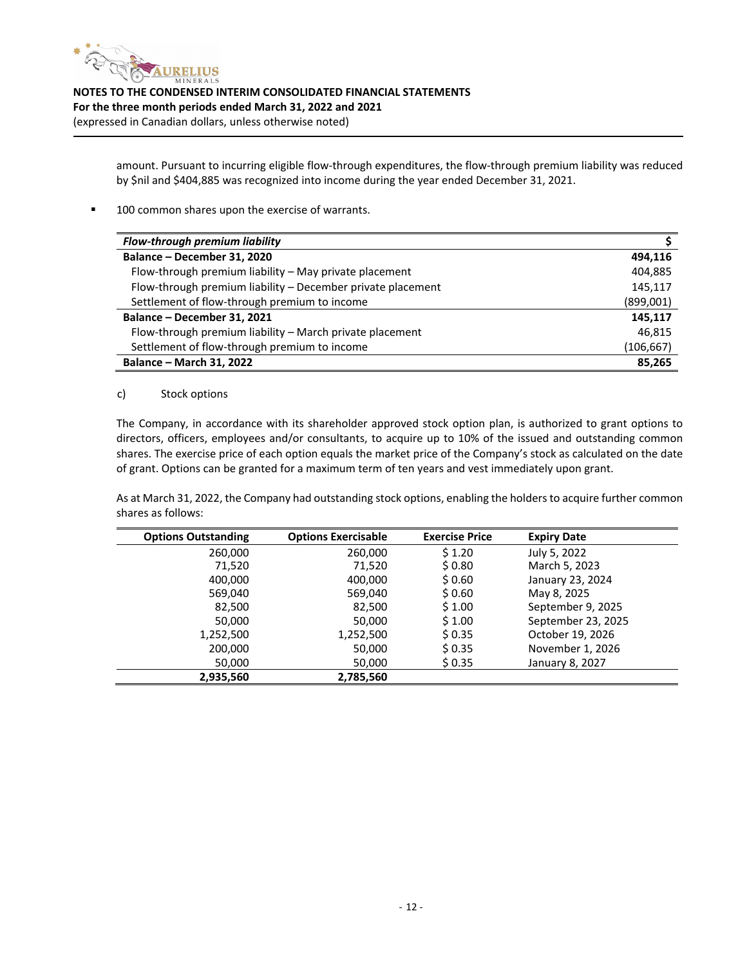

> amount. Pursuant to incurring eligible flow-through expenditures, the flow-through premium liability was reduced by \$nil and \$404,885 was recognized into income during the year ended December 31, 2021.

■ 100 common shares upon the exercise of warrants.

| Flow-through premium liability                              |           |
|-------------------------------------------------------------|-----------|
| Balance - December 31, 2020                                 | 494.116   |
| Flow-through premium liability - May private placement      | 404,885   |
| Flow-through premium liability - December private placement | 145,117   |
| Settlement of flow-through premium to income                | (899,001) |
| Balance - December 31, 2021                                 | 145.117   |
| Flow-through premium liability - March private placement    | 46.815    |
| Settlement of flow-through premium to income                | (106,667) |
| <b>Balance - March 31, 2022</b>                             | 85,265    |

#### c) Stock options

The Company, in accordance with its shareholder approved stock option plan, is authorized to grant options to directors, officers, employees and/or consultants, to acquire up to 10% of the issued and outstanding common shares. The exercise price of each option equals the market price of the Company's stock as calculated on the date of grant. Options can be granted for a maximum term of ten years and vest immediately upon grant.

As at March 31, 2022, the Company had outstanding stock options, enabling the holders to acquire further common shares as follows:

| <b>Options Outstanding</b> | <b>Options Exercisable</b> | <b>Exercise Price</b> | <b>Expiry Date</b> |
|----------------------------|----------------------------|-----------------------|--------------------|
| 260,000                    | 260,000                    | \$1.20                | July 5, 2022       |
| 71,520                     | 71,520                     | \$0.80                | March 5, 2023      |
| 400,000                    | 400,000                    | \$0.60                | January 23, 2024   |
| 569,040                    | 569,040                    | \$0.60                | May 8, 2025        |
| 82,500                     | 82,500                     | \$1.00                | September 9, 2025  |
| 50,000                     | 50,000                     | \$1.00                | September 23, 2025 |
| 1,252,500                  | 1,252,500                  | \$0.35                | October 19, 2026   |
| 200,000                    | 50,000                     | \$0.35                | November 1, 2026   |
| 50,000                     | 50,000                     | \$0.35                | January 8, 2027    |
| 2,935,560                  | 2,785,560                  |                       |                    |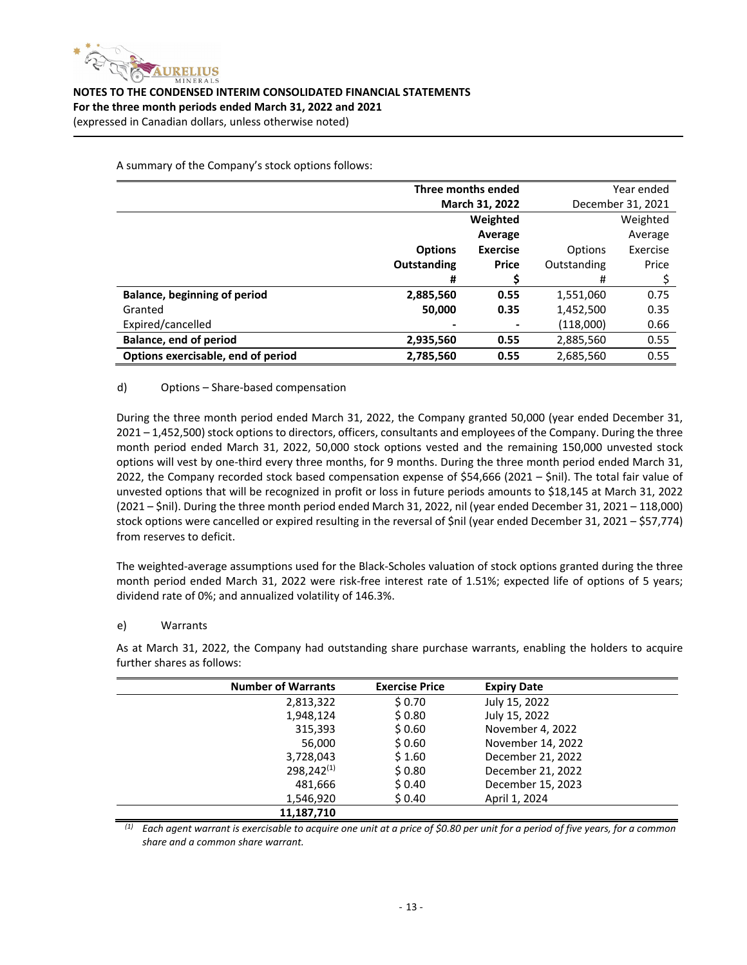

**Three months ended March 31, 2022** Year ended December 31, 2021 **Options Outstanding Weighted Average Exercise Price Options** Outstanding Weighted Average Exercise Price **# \$** # \$ **Balance, beginning of period 2,885,560 0.55** 1,551,060 0.75 Granted **50,000 0.35** 1,452,500 0.35 Expired/cancelled **‐ ‐**  (118,000) 0.66 **Balance, end of period 2,935,560 0.55** 2,885,560 0.55 **Options exercisable, end of period 2,785,560 0.55** 2,685,560 0.55

A summary of the Company's stock options follows:

#### d) Options – Share‐based compensation

During the three month period ended March 31, 2022, the Company granted 50,000 (year ended December 31, 2021 – 1,452,500) stock options to directors, officers, consultants and employees of the Company. During the three month period ended March 31, 2022, 50,000 stock options vested and the remaining 150,000 unvested stock options will vest by one‐third every three months, for 9 months. During the three month period ended March 31, 2022, the Company recorded stock based compensation expense of \$54,666 (2021 – \$nil). The total fair value of unvested options that will be recognized in profit or loss in future periods amounts to \$18,145 at March 31, 2022 (2021 – \$nil). During the three month period ended March 31, 2022, nil (year ended December 31, 2021 – 118,000) stock options were cancelled or expired resulting in the reversal of \$nil (year ended December 31, 2021 – \$57,774) from reserves to deficit.

The weighted‐average assumptions used for the Black‐Scholes valuation of stock options granted during the three month period ended March 31, 2022 were risk-free interest rate of 1.51%; expected life of options of 5 years; dividend rate of 0%; and annualized volatility of 146.3%.

#### e) Warrants

As at March 31, 2022, the Company had outstanding share purchase warrants, enabling the holders to acquire further shares as follows:

| <b>Number of Warrants</b> | <b>Exercise Price</b> | <b>Expiry Date</b> |
|---------------------------|-----------------------|--------------------|
| 2,813,322                 | \$0.70                | July 15, 2022      |
| 1,948,124                 | \$0.80                | July 15, 2022      |
| 315,393                   | \$0.60                | November 4, 2022   |
| 56,000                    | \$0.60                | November 14, 2022  |
| 3,728,043                 | \$1.60                | December 21, 2022  |
| $298,242^{(1)}$           | \$0.80                | December 21, 2022  |
| 481,666                   | \$0.40                | December 15, 2023  |
| 1,546,920                 | \$0.40                | April 1, 2024      |
| 11.187.710                |                       |                    |

 $^{(1)}$  Each agent warrant is exercisable to acquire one unit at a price of \$0.80 per unit for a period of five years, for a common *share and a common share warrant.*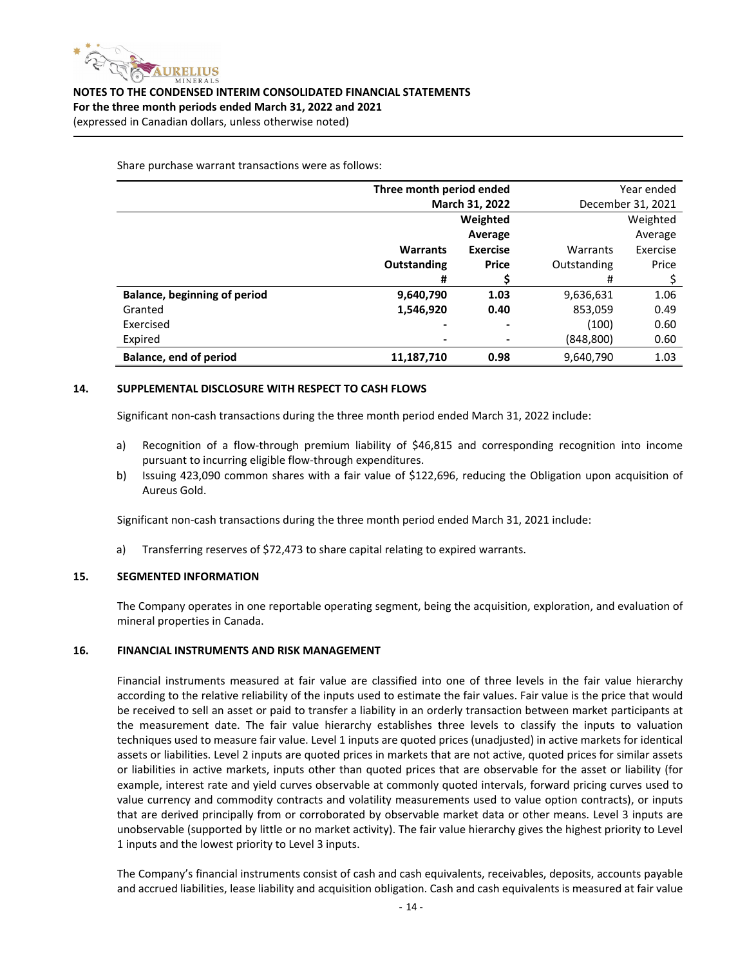

Share purchase warrant transactions were as follows:

|                                     | Three month period ended |                 | Year ended        |          |
|-------------------------------------|--------------------------|-----------------|-------------------|----------|
|                                     | March 31, 2022           |                 | December 31, 2021 |          |
|                                     | Weighted                 |                 | Weighted          |          |
|                                     |                          | Average         |                   | Average  |
|                                     | <b>Warrants</b>          | <b>Exercise</b> | Warrants          | Exercise |
|                                     | Outstanding              | <b>Price</b>    | Outstanding       | Price    |
|                                     | #                        |                 | #                 |          |
| <b>Balance, beginning of period</b> | 9,640,790                | 1.03            | 9,636,631         | 1.06     |
| Granted                             | 1,546,920                | 0.40            | 853,059           | 0.49     |
| Exercised                           | ۰                        |                 | (100)             | 0.60     |
| Expired                             |                          |                 | (848,800)         | 0.60     |
| Balance, end of period              | 11,187,710               | 0.98            | 9,640,790         | 1.03     |

#### **14. SUPPLEMENTAL DISCLOSURE WITH RESPECT TO CASH FLOWS**

Significant non-cash transactions during the three month period ended March 31, 2022 include:

- a) Recognition of a flow-through premium liability of \$46,815 and corresponding recognition into income pursuant to incurring eligible flow‐through expenditures.
- b) Issuing 423,090 common shares with a fair value of \$122,696, reducing the Obligation upon acquisition of Aureus Gold.

Significant non-cash transactions during the three month period ended March 31, 2021 include:

a) Transferring reserves of \$72,473 to share capital relating to expired warrants.

#### **15. SEGMENTED INFORMATION**

The Company operates in one reportable operating segment, being the acquisition, exploration, and evaluation of mineral properties in Canada.

#### **16. FINANCIAL INSTRUMENTS AND RISK MANAGEMENT**

Financial instruments measured at fair value are classified into one of three levels in the fair value hierarchy according to the relative reliability of the inputs used to estimate the fair values. Fair value is the price that would be received to sell an asset or paid to transfer a liability in an orderly transaction between market participants at the measurement date. The fair value hierarchy establishes three levels to classify the inputs to valuation techniques used to measure fair value. Level 1 inputs are quoted prices (unadjusted) in active markets for identical assets or liabilities. Level 2 inputs are quoted prices in markets that are not active, quoted prices for similar assets or liabilities in active markets, inputs other than quoted prices that are observable for the asset or liability (for example, interest rate and yield curves observable at commonly quoted intervals, forward pricing curves used to value currency and commodity contracts and volatility measurements used to value option contracts), or inputs that are derived principally from or corroborated by observable market data or other means. Level 3 inputs are unobservable (supported by little or no market activity). The fair value hierarchy gives the highest priority to Level 1 inputs and the lowest priority to Level 3 inputs.

The Company's financial instruments consist of cash and cash equivalents, receivables, deposits, accounts payable and accrued liabilities, lease liability and acquisition obligation. Cash and cash equivalents is measured at fair value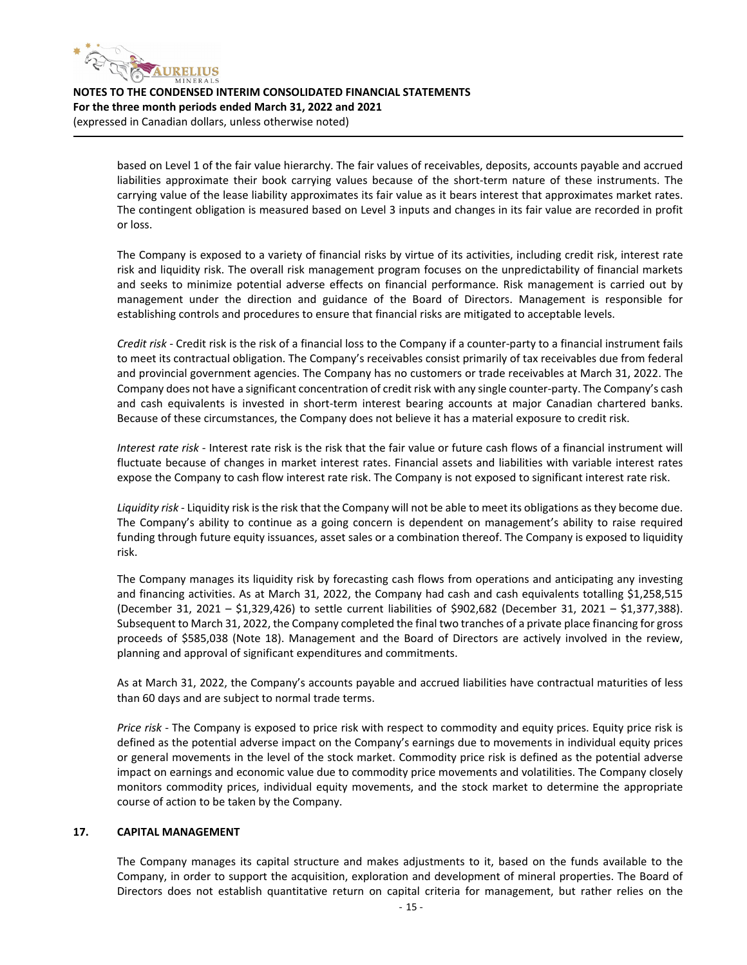

> based on Level 1 of the fair value hierarchy. The fair values of receivables, deposits, accounts payable and accrued liabilities approximate their book carrying values because of the short-term nature of these instruments. The carrying value of the lease liability approximates its fair value as it bears interest that approximates market rates. The contingent obligation is measured based on Level 3 inputs and changes in its fair value are recorded in profit or loss.

> The Company is exposed to a variety of financial risks by virtue of its activities, including credit risk, interest rate risk and liquidity risk. The overall risk management program focuses on the unpredictability of financial markets and seeks to minimize potential adverse effects on financial performance. Risk management is carried out by management under the direction and guidance of the Board of Directors. Management is responsible for establishing controls and procedures to ensure that financial risks are mitigated to acceptable levels.

> *Credit risk* ‐ Credit risk is the risk of a financial loss to the Company if a counter‐party to a financial instrument fails to meet its contractual obligation. The Company's receivables consist primarily of tax receivables due from federal and provincial government agencies. The Company has no customers or trade receivables at March 31, 2022. The Company does not have a significant concentration of credit risk with any single counter‐party. The Company's cash and cash equivalents is invested in short-term interest bearing accounts at major Canadian chartered banks. Because of these circumstances, the Company does not believe it has a material exposure to credit risk.

> *Interest rate risk* ‐ Interest rate risk is the risk that the fair value or future cash flows of a financial instrument will fluctuate because of changes in market interest rates. Financial assets and liabilities with variable interest rates expose the Company to cash flow interest rate risk. The Company is not exposed to significant interest rate risk.

> *Liquidity risk* ‐ Liquidity risk isthe risk that the Company will not be able to meet its obligations as they become due. The Company's ability to continue as a going concern is dependent on management's ability to raise required funding through future equity issuances, asset sales or a combination thereof. The Company is exposed to liquidity risk.

> The Company manages its liquidity risk by forecasting cash flows from operations and anticipating any investing and financing activities. As at March 31, 2022, the Company had cash and cash equivalents totalling \$1,258,515 (December 31, 2021 – \$1,329,426) to settle current liabilities of \$902,682 (December 31, 2021 – \$1,377,388). Subsequent to March 31, 2022, the Company completed the final two tranches of a private place financing for gross proceeds of \$585,038 (Note 18). Management and the Board of Directors are actively involved in the review, planning and approval of significant expenditures and commitments.

> As at March 31, 2022, the Company's accounts payable and accrued liabilities have contractual maturities of less than 60 days and are subject to normal trade terms.

> *Price risk* ‐ The Company is exposed to price risk with respect to commodity and equity prices. Equity price risk is defined as the potential adverse impact on the Company's earnings due to movements in individual equity prices or general movements in the level of the stock market. Commodity price risk is defined as the potential adverse impact on earnings and economic value due to commodity price movements and volatilities. The Company closely monitors commodity prices, individual equity movements, and the stock market to determine the appropriate course of action to be taken by the Company.

#### **17. CAPITAL MANAGEMENT**

The Company manages its capital structure and makes adjustments to it, based on the funds available to the Company, in order to support the acquisition, exploration and development of mineral properties. The Board of Directors does not establish quantitative return on capital criteria for management, but rather relies on the